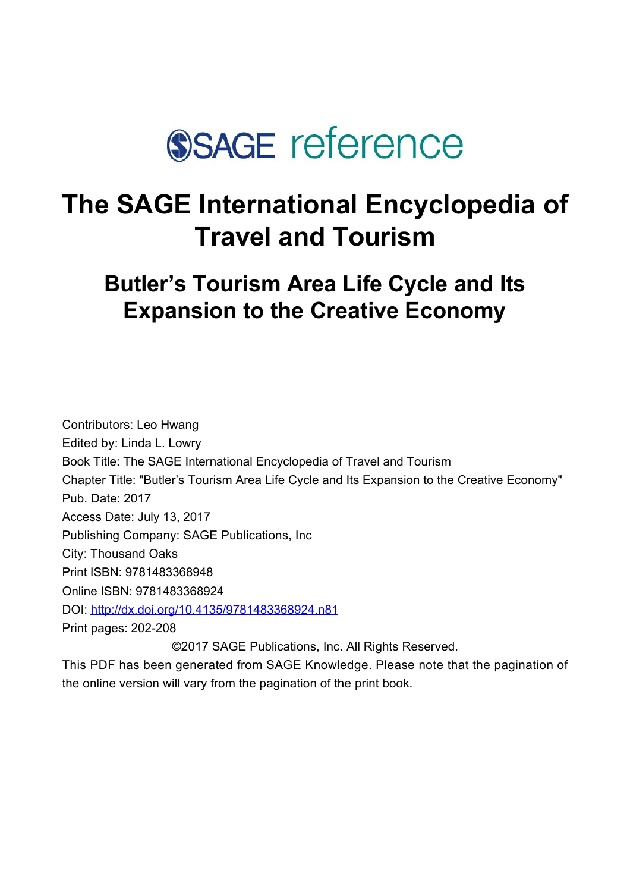

# **The SAGE International Encyclopedia of Travel and Tourism**

**Butler's Tourism Area Life Cycle and Its Expansion to the Creative Economy**

Contributors: Leo Hwang Edited by: [Linda L. Lowry](javascript:void(0);) Book Title: The SAGE International Encyclopedia of Travel and Tourism Chapter Title: "Butler's Tourism Area Life Cycle and Its Expansion to the Creative Economy" Pub. Date: 2017 Access Date: July 13, 2017 Publishing Company: SAGE Publications, Inc City: Thousand Oaks Print ISBN: 9781483368948 Online ISBN: 9781483368924 DOI: <http://dx.doi.org/10.4135/9781483368924.n81> Print pages: 202-208 ©2017 SAGE Publications, Inc. All Rights Reserved.

This PDF has been generated from SAGE Knowledge. Please note that the pagination of the online version will vary from the pagination of the print book.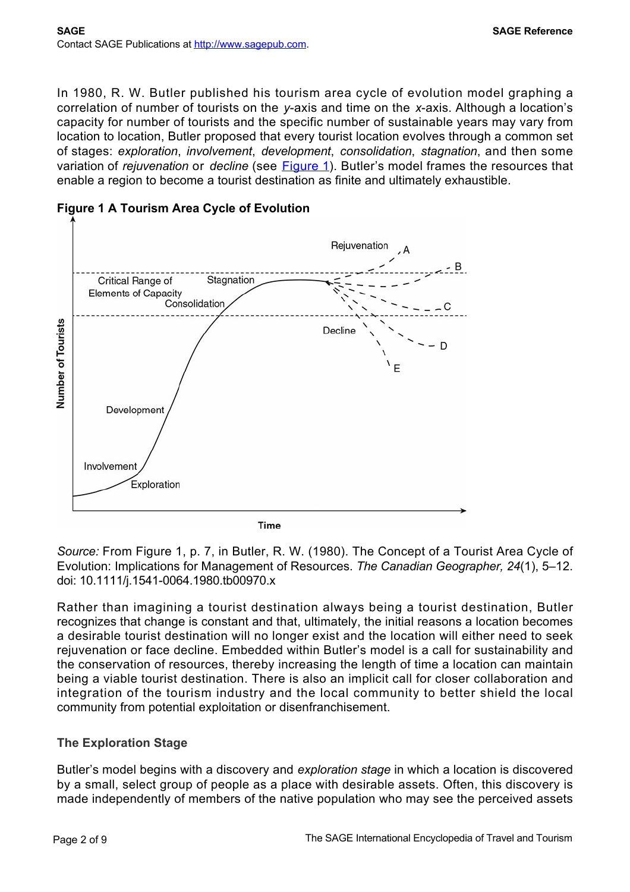In 1980, R. W. Butler published his tourism area cycle of evolution model graphing a correlation of number of tourists on the *y*-axis and time on the *x*-axis. Although a location's capacity for number of tourists and the specific number of sustainable years may vary from location to location, Butler proposed that every tourist location evolves through a common set of stages: *exploration*, *involvement*, *development*, *consolidation*, *stagnation*, and then some variation of *rejuvenation* or *decline* (see [Figure 1](#page-1-0)). Butler's model frames the resources that enable a region to become a tourist destination as finite and ultimately exhaustible.



<span id="page-1-0"></span>**Figure 1 A Tourism Area Cycle of Evolution**

*Source:* From Figure 1, p. 7, in Butler, R. W. (1980). The Concept of a Tourist Area Cycle of Evolution: Implications for Management of Resources. *The Canadian Geographer, 24*(1), 5–12. doi: 10.1111/j.1541-0064.1980.tb00970.x

Rather than imagining a tourist destination always being a tourist destination, Butler recognizes that change is constant and that, ultimately, the initial reasons a location becomes a desirable tourist destination will no longer exist and the location will either need to seek rejuvenation or face decline. Embedded within Butler's model is a call for sustainability and the conservation of resources, thereby increasing the length of time a location can maintain being a viable tourist destination. There is also an implicit call for closer collaboration and integration of the tourism industry and the local community to better shield the local community from potential exploitation or disenfranchisement.

# **The Exploration Stage**

Butler's model begins with a discovery and *exploration stage* in which a location is discovered by a small, select group of people as a place with desirable assets. Often, this discovery is made independently of members of the native population who may see the perceived assets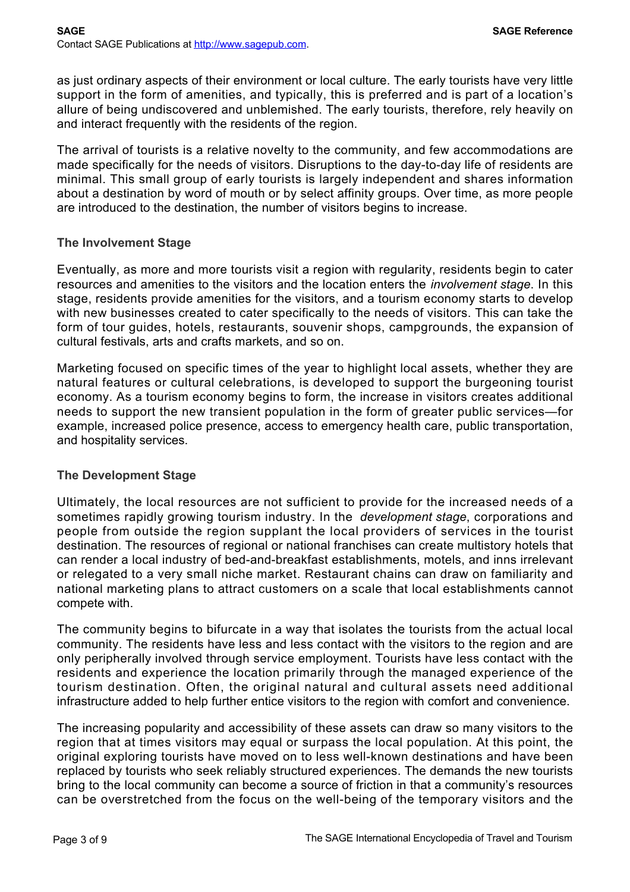as just ordinary aspects of their environment or local culture. The early tourists have very little support in the form of amenities, and typically, this is preferred and is part of a location's allure of being undiscovered and unblemished. The early tourists, therefore, rely heavily on and interact frequently with the residents of the region.

The arrival of tourists is a relative novelty to the community, and few accommodations are made specifically for the needs of visitors. Disruptions to the day-to-day life of residents are minimal. This small group of early tourists is largely independent and shares information about a destination by word of mouth or by select affinity groups. Over time, as more people are introduced to the destination, the number of visitors begins to increase.

#### **The Involvement Stage**

Eventually, as more and more tourists visit a region with regularity, residents begin to cater resources and amenities to the visitors and the location enters the *involvement stage*. In this stage, residents provide amenities for the visitors, and a tourism economy starts to develop with new businesses created to cater specifically to the needs of visitors. This can take the form of tour guides, hotels, restaurants, souvenir shops, campgrounds, the expansion of cultural festivals, arts and crafts markets, and so on.

Marketing focused on specific times of the year to highlight local assets, whether they are natural features or cultural celebrations, is developed to support the burgeoning tourist economy. As a tourism economy begins to form, the increase in visitors creates additional needs to support the new transient population in the form of greater public services—for example, increased police presence, access to emergency health care, public transportation, and hospitality services.

#### **The Development Stage**

Ultimately, the local resources are not sufficient to provide for the increased needs of a sometimes rapidly growing tourism industry. In the *development stage*, corporations and people from outside the region supplant the local providers of services in the tourist destination. The resources of regional or national franchises can create multistory hotels that can render a local industry of bed-and-breakfast establishments, motels, and inns irrelevant or relegated to a very small niche market. Restaurant chains can draw on familiarity and national marketing plans to attract customers on a scale that local establishments cannot compete with.

The community begins to bifurcate in a way that isolates the tourists from the actual local community. The residents have less and less contact with the visitors to the region and are only peripherally involved through service employment. Tourists have less contact with the residents and experience the location primarily through the managed experience of the tourism destination. Often, the original natural and cultural assets need additional infrastructure added to help further entice visitors to the region with comfort and convenience.

The increasing popularity and accessibility of these assets can draw so many visitors to the region that at times visitors may equal or surpass the local population. At this point, the original exploring tourists have moved on to less well-known destinations and have been replaced by tourists who seek reliably structured experiences. The demands the new tourists bring to the local community can become a source of friction in that a community's resources can be overstretched from the focus on the well-being of the temporary visitors and the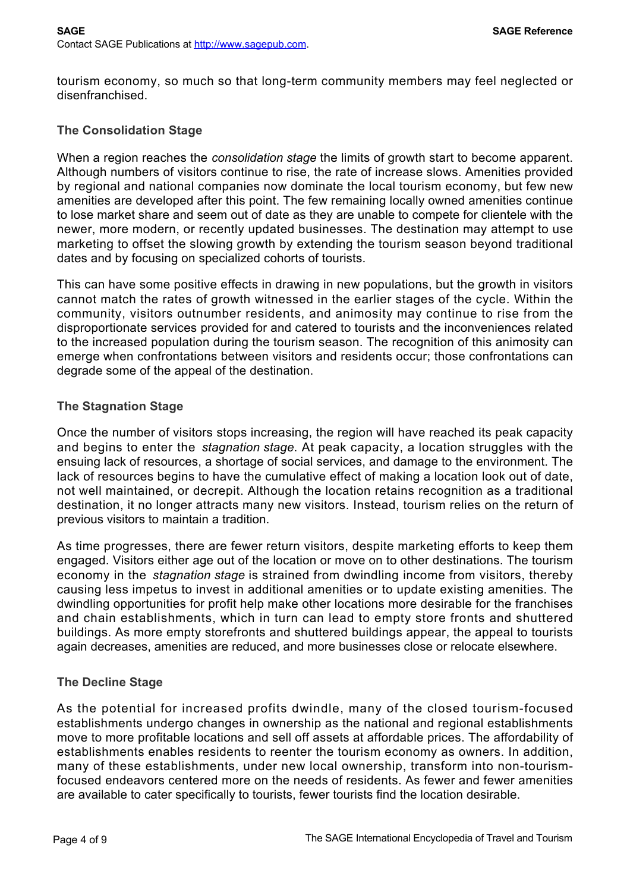tourism economy, so much so that long-term community members may feel neglected or disenfranchised.

#### **The Consolidation Stage**

When a region reaches the *consolidation stage* the limits of growth start to become apparent. Although numbers of visitors continue to rise, the rate of increase slows. Amenities provided by regional and national companies now dominate the local tourism economy, but few new amenities are developed after this point. The few remaining locally owned amenities continue to lose market share and seem out of date as they are unable to compete for clientele with the newer, more modern, or recently updated businesses. The destination may attempt to use marketing to offset the slowing growth by extending the tourism season beyond traditional dates and by focusing on specialized cohorts of tourists.

This can have some positive effects in drawing in new populations, but the growth in visitors cannot match the rates of growth witnessed in the earlier stages of the cycle. Within the community, visitors outnumber residents, and animosity may continue to rise from the disproportionate services provided for and catered to tourists and the inconveniences related to the increased population during the tourism season. The recognition of this animosity can emerge when confrontations between visitors and residents occur; those confrontations can degrade some of the appeal of the destination.

#### **The Stagnation Stage**

Once the number of visitors stops increasing, the region will have reached its peak capacity and begins to enter the *stagnation stage*. At peak capacity, a location struggles with the ensuing lack of resources, a shortage of social services, and damage to the environment. The lack of resources begins to have the cumulative effect of making a location look out of date, not well maintained, or decrepit. Although the location retains recognition as a traditional destination, it no longer attracts many new visitors. Instead, tourism relies on the return of previous visitors to maintain a tradition.

As time progresses, there are fewer return visitors, despite marketing efforts to keep them engaged. Visitors either age out of the location or move on to other destinations. The tourism economy in the *stagnation stage* is strained from dwindling income from visitors, thereby causing less impetus to invest in additional amenities or to update existing amenities. The dwindling opportunities for profit help make other locations more desirable for the franchises and chain establishments, which in turn can lead to empty store fronts and shuttered buildings. As more empty storefronts and shuttered buildings appear, the appeal to tourists again decreases, amenities are reduced, and more businesses close or relocate elsewhere.

## **The Decline Stage**

As the potential for increased profits dwindle, many of the closed tourism-focused establishments undergo changes in ownership as the national and regional establishments move to more profitable locations and sell off assets at affordable prices. The affordability of establishments enables residents to reenter the tourism economy as owners. In addition, many of these establishments, under new local ownership, transform into non-tourismfocused endeavors centered more on the needs of residents. As fewer and fewer amenities are available to cater specifically to tourists, fewer tourists find the location desirable.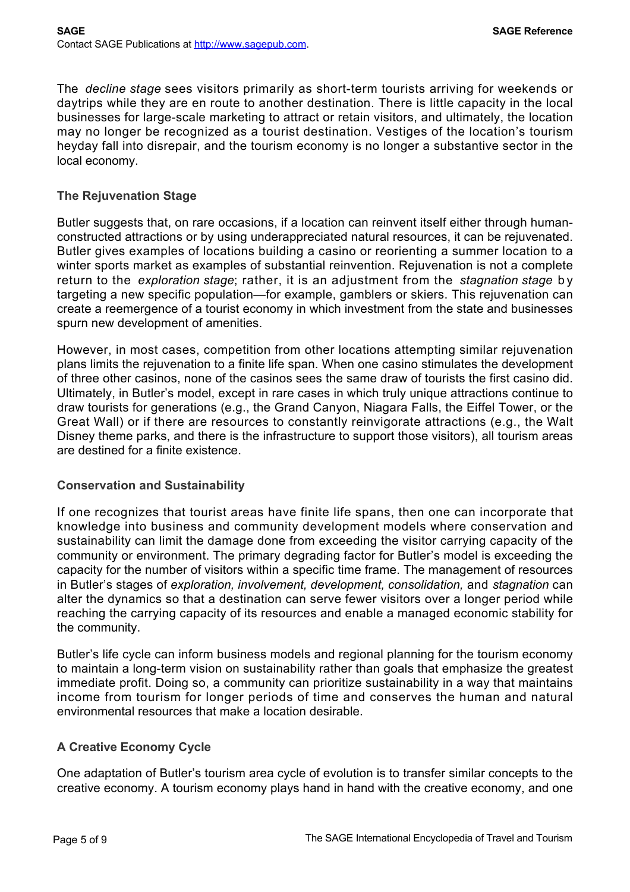The *decline stage* sees visitors primarily as short-term tourists arriving for weekends or daytrips while they are en route to another destination. There is little capacity in the local businesses for large-scale marketing to attract or retain visitors, and ultimately, the location may no longer be recognized as a tourist destination. Vestiges of the location's tourism heyday fall into disrepair, and the tourism economy is no longer a substantive sector in the local economy.

#### **The Rejuvenation Stage**

Butler suggests that, on rare occasions, if a location can reinvent itself either through humanconstructed attractions or by using underappreciated natural resources, it can be rejuvenated. Butler gives examples of locations building a casino or reorienting a summer location to a winter sports market as examples of substantial reinvention. Rejuvenation is not a complete return to the *exploration stage*; rather, it is an adjustment from the *stagnation stage* by targeting a new specific population—for example, gamblers or skiers. This rejuvenation can create a reemergence of a tourist economy in which investment from the state and businesses spurn new development of amenities.

However, in most cases, competition from other locations attempting similar rejuvenation plans limits the rejuvenation to a finite life span. When one casino stimulates the development of three other casinos, none of the casinos sees the same draw of tourists the first casino did. Ultimately, in Butler's model, except in rare cases in which truly unique attractions continue to draw tourists for generations (e.g., the Grand Canyon, Niagara Falls, the Eiffel Tower, or the Great Wall) or if there are resources to constantly reinvigorate attractions (e.g., the Walt Disney theme parks, and there is the infrastructure to support those visitors), all tourism areas are destined for a finite existence.

#### **Conservation and Sustainability**

If one recognizes that tourist areas have finite life spans, then one can incorporate that knowledge into business and community development models where conservation and sustainability can limit the damage done from exceeding the visitor carrying capacity of the community or environment. The primary degrading factor for Butler's model is exceeding the capacity for the number of visitors within a specific time frame. The management of resources in Butler's stages of *exploration, involvement, development, consolidation,* and *stagnation* can alter the dynamics so that a destination can serve fewer visitors over a longer period while reaching the carrying capacity of its resources and enable a managed economic stability for the community.

Butler's life cycle can inform business models and regional planning for the tourism economy to maintain a long-term vision on sustainability rather than goals that emphasize the greatest immediate profit. Doing so, a community can prioritize sustainability in a way that maintains income from tourism for longer periods of time and conserves the human and natural environmental resources that make a location desirable.

#### **A Creative Economy Cycle**

One adaptation of Butler's tourism area cycle of evolution is to transfer similar concepts to the creative economy. A tourism economy plays hand in hand with the creative economy, and one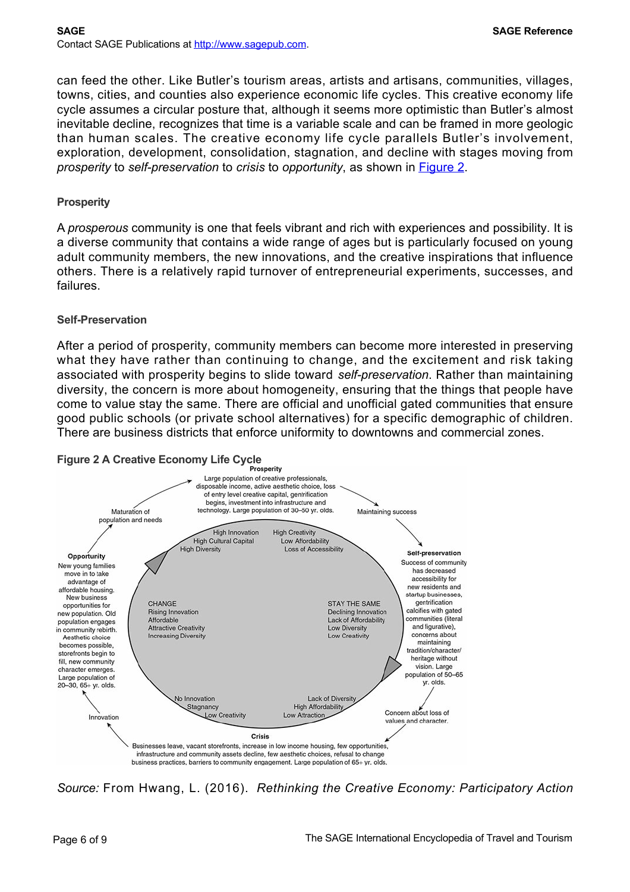can feed the other. Like Butler's tourism areas, artists and artisans, communities, villages, towns, cities, and counties also experience economic life cycles. This creative economy life cycle assumes a circular posture that, although it seems more optimistic than Butler's almost inevitable decline, recognizes that time is a variable scale and can be framed in more geologic than human scales. The creative economy life cycle parallels Butler's involvement, exploration, development, consolidation, stagnation, and decline with stages moving from *prosperity* to *self-preservation* to *crisis* to *opportunity*, as shown in [Figure 2.](#page-5-0)

#### **Prosperity**

A *prosperous* community is one that feels vibrant and rich with experiences and possibility. It is a diverse community that contains a wide range of ages but is particularly focused on young adult community members, the new innovations, and the creative inspirations that influence others. There is a relatively rapid turnover of entrepreneurial experiments, successes, and failures.

#### **Self-Preservation**

After a period of prosperity, community members can become more interested in preserving what they have rather than continuing to change, and the excitement and risk taking associated with prosperity begins to slide toward *self-preservation*. Rather than maintaining diversity, the concern is more about homogeneity, ensuring that the things that people have come to value stay the same. There are official and unofficial gated communities that ensure good public schools (or private school alternatives) for a specific demographic of children. There are business districts that enforce uniformity to downtowns and commercial zones.

<span id="page-5-0"></span>

*Source:* From Hwang, L. (2016). *Rethinking the Creative Economy: Participatory Action*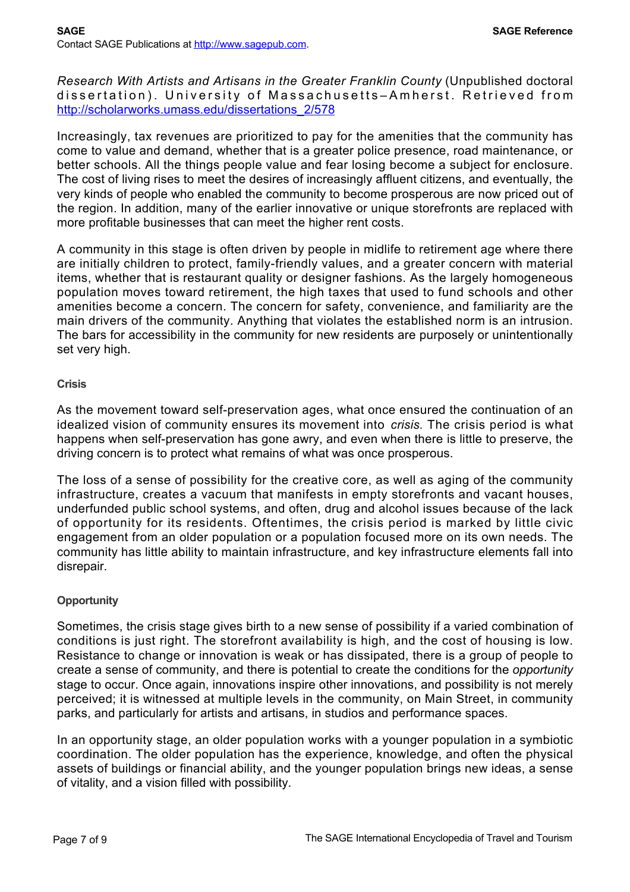*Research With Artists and Artisans in the Greater Franklin County* (Unpublished doctoral dissertation). University of Massachusetts–Amherst. Retrieved from [http://scholarworks.umass.edu/dissertations\\_2/578](http://scholarworks.umass.edu/dissertations_2/578)

Increasingly, tax revenues are prioritized to pay for the amenities that the community has come to value and demand, whether that is a greater police presence, road maintenance, or better schools. All the things people value and fear losing become a subject for enclosure. The cost of living rises to meet the desires of increasingly affluent citizens, and eventually, the very kinds of people who enabled the community to become prosperous are now priced out of the region. In addition, many of the earlier innovative or unique storefronts are replaced with more profitable businesses that can meet the higher rent costs.

A community in this stage is often driven by people in midlife to retirement age where there are initially children to protect, family-friendly values, and a greater concern with material items, whether that is restaurant quality or designer fashions. As the largely homogeneous population moves toward retirement, the high taxes that used to fund schools and other amenities become a concern. The concern for safety, convenience, and familiarity are the main drivers of the community. Anything that violates the established norm is an intrusion. The bars for accessibility in the community for new residents are purposely or unintentionally set very high.

#### **Crisis**

As the movement toward self-preservation ages, what once ensured the continuation of an idealized vision of community ensures its movement into *crisis*. The crisis period is what happens when self-preservation has gone awry, and even when there is little to preserve, the driving concern is to protect what remains of what was once prosperous.

The loss of a sense of possibility for the creative core, as well as aging of the community infrastructure, creates a vacuum that manifests in empty storefronts and vacant houses, underfunded public school systems, and often, drug and alcohol issues because of the lack of opportunity for its residents. Oftentimes, the crisis period is marked by little civic engagement from an older population or a population focused more on its own needs. The community has little ability to maintain infrastructure, and key infrastructure elements fall into disrepair.

#### **Opportunity**

Sometimes, the crisis stage gives birth to a new sense of possibility if a varied combination of conditions is just right. The storefront availability is high, and the cost of housing is low. Resistance to change or innovation is weak or has dissipated, there is a group of people to create a sense of community, and there is potential to create the conditions for the *opportunity* stage to occur. Once again, innovations inspire other innovations, and possibility is not merely perceived; it is witnessed at multiple levels in the community, on Main Street, in community parks, and particularly for artists and artisans, in studios and performance spaces.

In an opportunity stage, an older population works with a younger population in a symbiotic coordination. The older population has the experience, knowledge, and often the physical assets of buildings or financial ability, and the younger population brings new ideas, a sense of vitality, and a vision filled with possibility.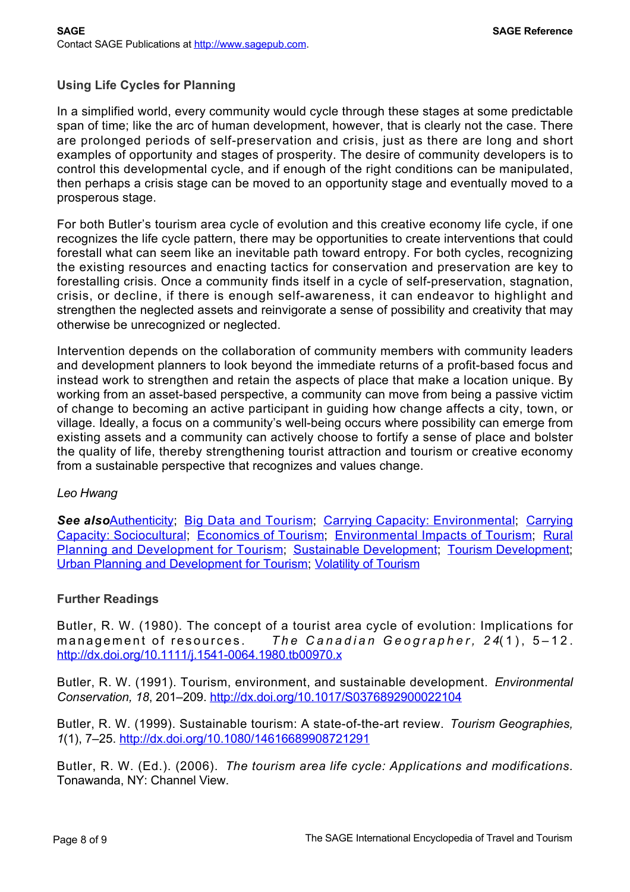## **Using Life Cycles for Planning**

In a simplified world, every community would cycle through these stages at some predictable span of time; like the arc of human development, however, that is clearly not the case. There are prolonged periods of self-preservation and crisis, just as there are long and short examples of opportunity and stages of prosperity. The desire of community developers is to control this developmental cycle, and if enough of the right conditions can be manipulated, then perhaps a crisis stage can be moved to an opportunity stage and eventually moved to a prosperous stage.

For both Butler's tourism area cycle of evolution and this creative economy life cycle, if one recognizes the life cycle pattern, there may be opportunities to create interventions that could forestall what can seem like an inevitable path toward entropy. For both cycles, recognizing the existing resources and enacting tactics for conservation and preservation are key to forestalling crisis. Once a community finds itself in a cycle of self-preservation, stagnation, crisis, or decline, if there is enough self-awareness, it can endeavor to highlight and strengthen the neglected assets and reinvigorate a sense of possibility and creativity that may otherwise be unrecognized or neglected.

Intervention depends on the collaboration of community members with community leaders and development planners to look beyond the immediate returns of a profit-based focus and instead work to strengthen and retain the aspects of place that make a location unique. By working from an asset-based perspective, a community can move from being a passive victim of change to becoming an active participant in guiding how change affects a city, town, or village. Ideally, a focus on a community's well-being occurs where possibility can emerge from existing assets and a community can actively choose to fortify a sense of place and bolster the quality of life, thereby strengthening tourist attraction and tourism or creative economy from a sustainable perspective that recognizes and values change.

#### *Leo Hwang*

**See also**[Authenticity](http://sk.sagepub.com/reference/the-sage-international-encyclopedia-of-travel-and-tourism/i2302.xml); [Big Data and Tourism;](http://sk.sagepub.com/reference/the-sage-international-encyclopedia-of-travel-and-tourism/i2696.xml) [Carrying Capacity: Environmental;](http://sk.sagepub.com/reference/the-sage-international-encyclopedia-of-travel-and-tourism/i3405.xml) Carrying [Capacity: Sociocultural; Economics of Tourism; Environmental Impacts of Tourism; Rural](http://sk.sagepub.com/reference/the-sage-international-encyclopedia-of-travel-and-tourism/i3438.xml) Planning and Development for Tourism; [Sustainable Development](http://sk.sagepub.com/reference/the-sage-international-encyclopedia-of-travel-and-tourism/i10759.xml); [Tourism Development;](http://sk.sagepub.com/reference/the-sage-international-encyclopedia-of-travel-and-tourism/i11151.xml) [Urban Planning and Development for Tourism;](http://sk.sagepub.com/reference/the-sage-international-encyclopedia-of-travel-and-tourism/i12087.xml) [Volatility of Tourism](http://sk.sagepub.com/reference/the-sage-international-encyclopedia-of-travel-and-tourism/i12310.xml)

#### **Further Readings**

Butler, R. W. (1980). The concept of a tourist area cycle of evolution: Implications for management of resources. *The Canadian Geographer, 24*(1), 5–12. <http://dx.doi.org/10.1111/j.1541-0064.1980.tb00970.x>

Butler, R. W. (1991). Tourism, environment, and sustainable development. *Environmental Conservation, 18*, 201–209.<http://dx.doi.org/10.1017/S0376892900022104>

Butler, R. W. (1999). Sustainable tourism: A state-of-the-art review. *Tourism Geographies, 1*(1), 7–25. <http://dx.doi.org/10.1080/14616689908721291>

Butler, R. W. (Ed.). (2006). *The tourism area life cycle: Applications and modifications.* Tonawanda, NY: Channel View.